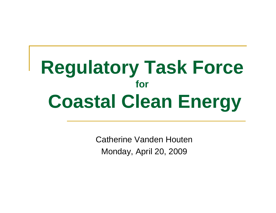# **Regulatory Task Force forCoastal Clean Energy**

Catherine Vanden HoutenMonday, April 20, 2009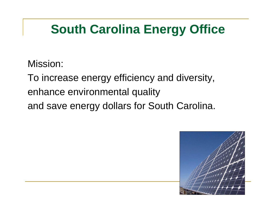### **South Carolina Energy Office**

Mission:

To increase energy efficiency and diversity,

enhance environmental quality

and save energy dollars for South Carolina.

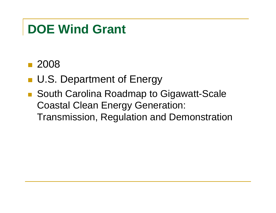#### ■ 2008

- **U.S. Department of Energy**
- South Carolina Roadmap to Gigawatt-Scale Coastal Clean Energy Generation: Transmission, Regulation and Demonstration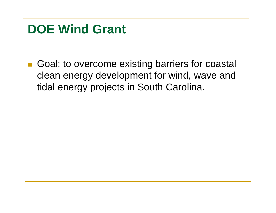Goal: to overcome existing barriers for coastal clean energy development for wind, wave and tidal energy projects in South Carolina.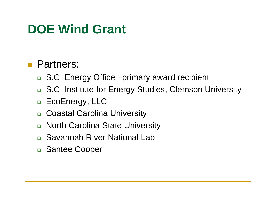#### **Partners:**

- □ S.C. Energy Office –primary award recipient
- □ S.C. Institute for Energy Studies, Clemson University
- □ EcoEnergy, LLC
- $\Box$ Coastal Carolina University
- □ North Carolina State University
- □ Savannah River National Lab
- □ Santee Cooper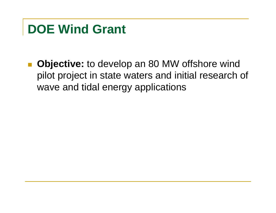$\mathcal{L}_{\mathcal{A}}$  **Objective:** to develop an 80 MW offshore wind pilot project in state waters and initial research of wave and tidal energy applications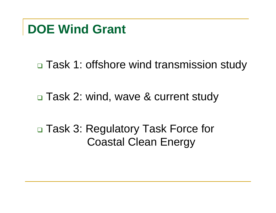□ Task 1: offshore wind transmission study

□ Task 2: wind, wave & current study

□ Task 3: Regulatory Task Force for Coastal Clean Energy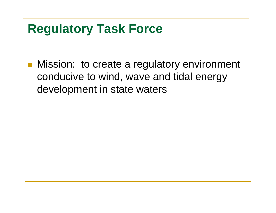#### **Regulatory Task Force**

**Nission: to create a regulatory environment** conducive to wind, wave and tidal energy development in state waters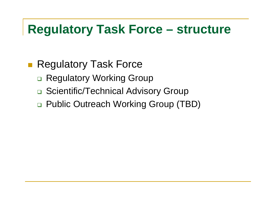#### **Regulatory Task Force – structure**

#### ■ Regulatory Task Force

- □ Regulatory Working Group
- □ Scientific/Technical Advisory Group
- □ Public Outreach Working Group (TBD)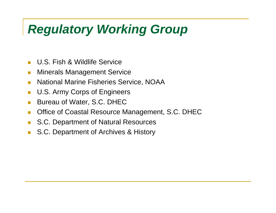## *Regulatory Working Group*

- $\mathcal{C}^{\mathcal{A}}$ U.S. Fish & Wildlife Service
- $\mathcal{C}^{\mathcal{A}}$ Minerals Management Service
- $\mathcal{C}^{\mathcal{A}}$ National Marine Fisheries Service, NOAA
- $\mathcal{L}_{\mathcal{A}}$ U.S. Army Corps of Engineers
- $\mathcal{L}_{\mathcal{A}}$ Bureau of Water, S.C. DHEC
- $\mathcal{C}^{\mathcal{A}}$ Office of Coastal Resource Management, S.C. DHEC
- **The State** S.C. Department of Natural Resources
- $\mathcal{L}_{\mathcal{A}}$ S.C. Department of Archives & History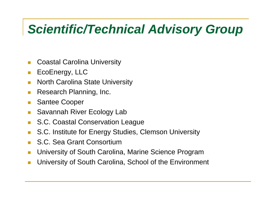#### *Scientific/Technical Advisory Group*

- $\mathcal{C}^{\mathcal{A}}$ Coastal Carolina University
- $\mathcal{L}_{\mathcal{A}}$ EcoEnergy, LLC
- $\mathbb{R}^n$ North Carolina State University
- $\mathbb{R}^3$ Research Planning, Inc.
- $\mathcal{L}^{\text{max}}$ Santee Cooper
- $\mathcal{L}_{\mathcal{A}}$ Savannah River Ecology Lab
- $\mathcal{L}^{\text{max}}$ S.C. Coastal Conservation League
- $\mathcal{L}_{\mathcal{A}}$ S.C. Institute for Energy Studies, Clemson University
- $\mathcal{L}^{\text{max}}$ S.C. Sea Grant Consortium
- **T** University of South Carolina, Marine Science Program
- University of South Carolina, School of the Environment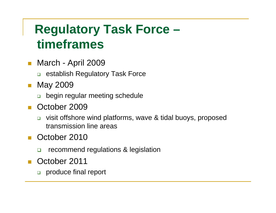#### **Regulatory Task Force – timeframes**

- March April 2009
	- □ establish Regulatory Task Force
- May 2009
	- begin regular meeting schedule
- $\mathcal{L}^{\mathcal{L}}$  October 2009
	- $\Box$  visit offshore wind platforms, wave & tidal buoys, proposed transmission line areas
- October 2010
	- $\Box$ recommend regulations & legislation
- $\mathcal{L}^{\mathcal{L}}$  October 2011
	- □ produce final report